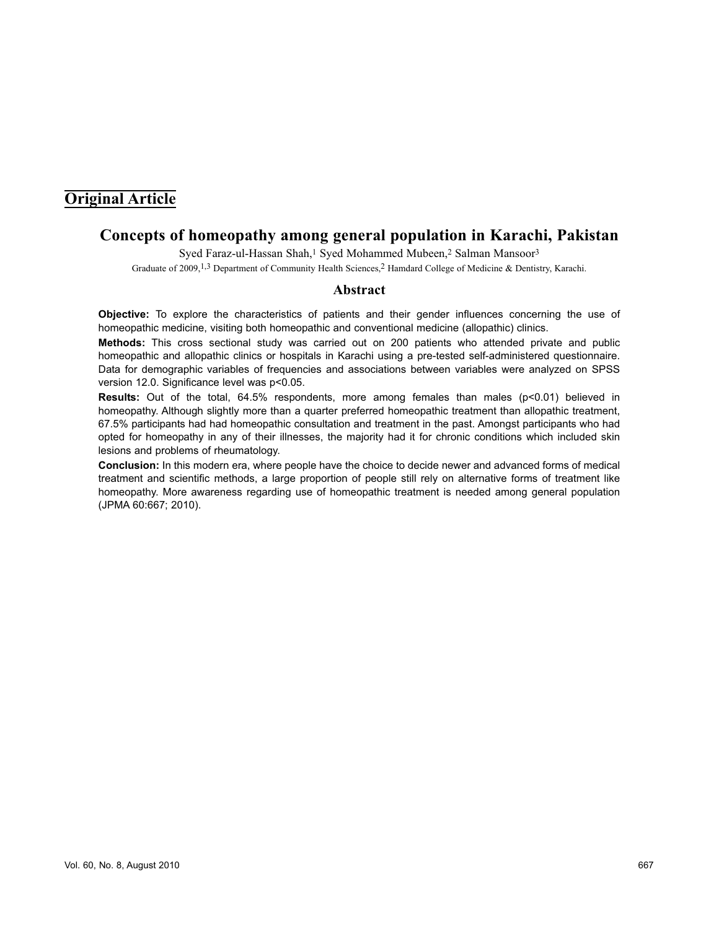# **Original Article**

## **Concepts of homeopathy among general population in Karachi, Pakistan**

Syed Faraz-ul-Hassan Shah,<sup>1</sup> Syed Mohammed Mubeen,<sup>2</sup> Salman Mansoor<sup>3</sup> Graduate of 2009,<sup>1,3</sup> Department of Community Health Sciences,<sup>2</sup> Hamdard College of Medicine & Dentistry, Karachi.

## **Abstract**

**Objective:** To explore the characteristics of patients and their gender influences concerning the use of homeopathic medicine, visiting both homeopathic and conventional medicine (allopathic) clinics.

**Methods:** This cross sectional study was carried out on 200 patients who attended private and public homeopathic and allopathic clinics or hospitals in Karachi using a pre-tested self-administered questionnaire. Data for demographic variables of frequencies and associations between variables were analyzed on SPSS version 12.0. Significance level was p<0.05.

Results: Out of the total, 64.5% respondents, more among females than males (p<0.01) believed in homeopathy. Although slightly more than a quarter preferred homeopathic treatment than allopathic treatment, 67.5% participants had had homeopathic consultation and treatment in the past. Amongst participants who had opted for homeopathy in any of their illnesses, the majority had it for chronic conditions which included skin lesions and problems of rheumatology.

**Conclusion:** In this modern era, where people have the choice to decide newer and advanced forms of medical treatment and scientific methods, a large proportion of people still rely on alternative forms of treatment like homeopathy. More awareness regarding use of homeopathic treatment is needed among general population (JPMA 60:667; 2010).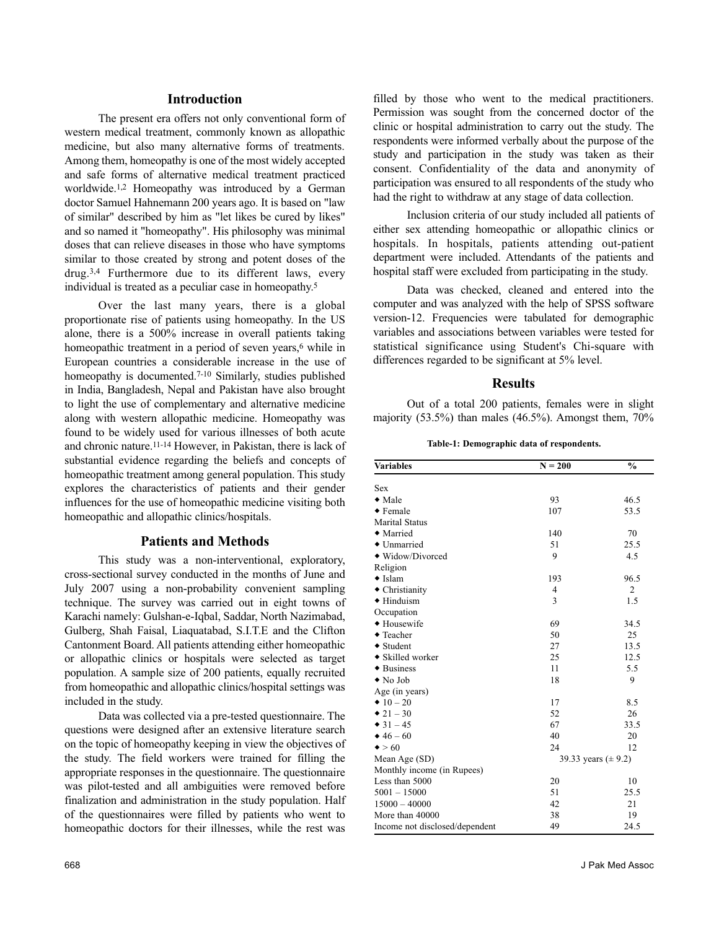## **Introduction**

The present era offers not only conventional form of western medical treatment, commonly known as allopathic medicine, but also many alternative forms of treatments. Among them, homeopathy is one of the most widely accepted and safe forms of alternative medical treatment practiced worldwide.1,2 Homeopathy was introduced by a German doctor Samuel Hahnemann 200 years ago. It is based on "law of similar" described by him as "let likes be cured by likes" and so named it "homeopathy". His philosophy was minimal doses that can relieve diseases in those who have symptoms similar to those created by strong and potent doses of the drug.3,4 Furthermore due to its different laws, every individual is treated as a peculiar case in homeopathy.<sup>5</sup>

Over the last many years, there is a global proportionate rise of patients using homeopathy. In the US alone, there is a 500% increase in overall patients taking homeopathic treatment in a period of seven years,<sup>6</sup> while in European countries a considerable increase in the use of homeopathy is documented.<sup>7-10</sup> Similarly, studies published in India, Bangladesh, Nepal and Pakistan have also brought to light the use of complementary and alternative medicine along with western allopathic medicine. Homeopathy was found to be widely used for various illnesses of both acute and chronic nature.11-14 However, in Pakistan, there is lack of substantial evidence regarding the beliefs and concepts of homeopathic treatment among general population. This study explores the characteristics of patients and their gender influences for the use of homeopathic medicine visiting both homeopathic and allopathic clinics/hospitals.

## **Patients and Methods**

This study was a non-interventional, exploratory, cross-sectional survey conducted in the months of June and July 2007 using a non-probability convenient sampling technique. The survey was carried out in eight towns of Karachi namely: Gulshan-e-Iqbal, Saddar, North Nazimabad, Gulberg, Shah Faisal, Liaquatabad, S.I.T.E and the Clifton Cantonment Board. All patients attending either homeopathic or allopathic clinics or hospitals were selected as target population. A sample size of 200 patients, equally recruited from homeopathic and allopathic clinics/hospital settings was included in the study.

Data was collected via a pre-tested questionnaire. The questions were designed after an extensive literature search on the topic of homeopathy keeping in view the objectives of the study. The field workers were trained for filling the appropriate responses in the questionnaire. The questionnaire was pilot-tested and all ambiguities were removed before finalization and administration in the study population. Half of the questionnaires were filled by patients who went to homeopathic doctors for their illnesses, while the rest was

filled by those who went to the medical practitioners. Permission was sought from the concerned doctor of the clinic or hospital administration to carry out the study. The respondents were informed verbally about the purpose of the study and participation in the study was taken as their consent. Confidentiality of the data and anonymity of participation was ensured to all respondents of the study who had the right to withdraw at any stage of data collection.

Inclusion criteria of our study included all patients of either sex attending homeopathic or allopathic clinics or hospitals. In hospitals, patients attending out-patient department were included. Attendants of the patients and hospital staff were excluded from participating in the study.

Data was checked, cleaned and entered into the computer and was analyzed with the help of SPSS software version-12. Frequencies were tabulated for demographic variables and associations between variables were tested for statistical significance using Student's Chi-square with differences regarded to be significant at 5% level.

#### **Results**

Out of a total 200 patients, females were in slight majority  $(53.5\%)$  than males  $(46.5\%)$ . Amongst them,  $70\%$ 

**Table-1: Demographic data of respondents.**

| <b>Variables</b>               | $N = 200$               | $\frac{0}{0}$ |
|--------------------------------|-------------------------|---------------|
| <b>Sex</b>                     |                         |               |
| $\bullet$ Male                 | 93                      | 46.5          |
| $\bullet$ Female               | 107                     | 53.5          |
| <b>Marital Status</b>          |                         |               |
| • Married                      | 140                     | 70            |
| • Unmarried                    | 51                      | 25.5          |
| • Widow/Divorced               | 9                       | 4.5           |
| Religion                       |                         |               |
| $\bullet$ Islam                | 193                     | 96.5          |
| $\bullet$ Christianity         | 4                       | 2             |
| $\blacklozenge$ Hinduism       | 3                       | 1.5           |
| Occupation                     |                         |               |
| + Housewife                    | 69                      | 34.5          |
| ◆ Teacher                      | 50                      | 25            |
| ◆ Student                      | 27                      | 13.5          |
| ◆ Skilled worker               | 25                      | 12.5          |
| $\bullet$ Business             | 11                      | 5.5           |
| $\bullet$ No Job               | 18                      | 9             |
| Age (in years)                 |                         |               |
| $\bullet$ 10 - 20              | 17                      | 8.5           |
| $\bullet$ 21 - 30              | 52                      | 26            |
| $\bullet$ 31 - 45              | 67                      | 33.5          |
| $* 46 - 60$                    | 40                      | 20            |
| $\bullet$ > 60                 | 24                      | 12            |
| Mean Age (SD)                  | 39.33 years $(\pm 9.2)$ |               |
| Monthly income (in Rupees)     |                         |               |
| Less than 5000                 | 20                      | 10            |
| $5001 - 15000$                 | 51                      | 25.5          |
| $15000 - 40000$                | 42                      | 21            |
| More than 40000                | 38                      | 19            |
| Income not disclosed/dependent | 49                      | 24.5          |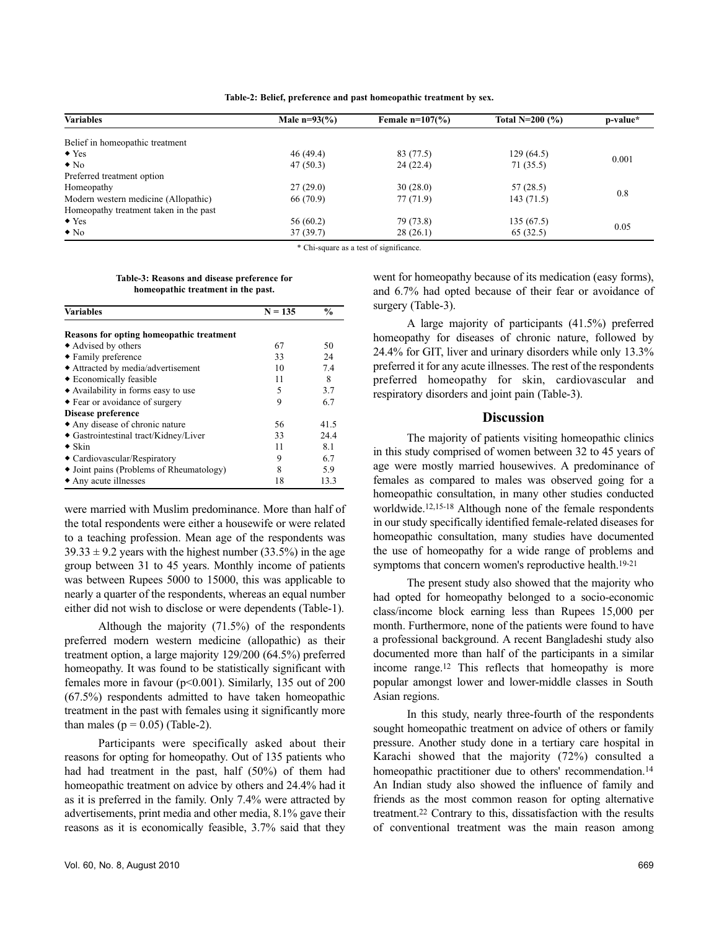**Table-2: Belief, preference and past homeopathic treatment by sex.**

| Male $n=93(%)$ | Female $n=107(%)$ | Total N=200 $(%$ ) | p-value* |
|----------------|-------------------|--------------------|----------|
|                |                   |                    |          |
| 46(49.4)       | 83 (77.5)         | 129(64.5)          | 0.001    |
| 47(50.3)       | 24(22.4)          | 71 (35.5)          |          |
|                |                   |                    |          |
| 27(29.0)       | 30(28.0)          | 57(28.5)           | 0.8      |
| 66 (70.9)      | 77 (71.9)         | 143(71.5)          |          |
|                |                   |                    |          |
| 56(60.2)       | 79 (73.8)         | 135(67.5)          |          |
| 37(39.7)       | 28 (26.1)         | 65 (32.5)          | 0.05     |
|                |                   |                    |          |

\* Chi-square as a test of significance.

**Table-3: Reasons and disease preference for homeopathic treatment in the past.**

| <b>Variables</b>                         | $N = 135$ | $\frac{6}{6}$ |
|------------------------------------------|-----------|---------------|
| Reasons for opting homeopathic treatment |           |               |
| ◆ Advised by others                      | 67        | 50            |
| • Family preference                      | 33        | 24            |
| • Attracted by media/advertisement       | 10        | 7.4           |
| ◆ Economically feasible                  | 11        | 8             |
| • Availability in forms easy to use      | 5         | 3.7           |
| • Fear or avoidance of surgery           | 9         | 6.7           |
| Disease preference                       |           |               |
| • Any disease of chronic nature          | 56        | 41.5          |
| • Gastrointestinal tract/Kidney/Liver    | 33        | 24.4          |
| $\bullet$ Skin                           | 11        | 8.1           |
| • Cardiovascular/Respiratory             | 9         | 6.7           |
| • Joint pains (Problems of Rheumatology) | 8         | 5.9           |
| • Any acute illnesses                    | 18        | 13.3          |

were married with Muslim predominance. More than half of the total respondents were either a housewife or were related to a teaching profession. Mean age of the respondents was  $39.33 \pm 9.2$  years with the highest number (33.5%) in the age group between 31 to 45 years. Monthly income of patients was between Rupees 5000 to 15000, this was applicable to nearly a quarter of the respondents, whereas an equal number either did not wish to disclose or were dependents (Table-1).

Although the majority (71.5%) of the respondents preferred modern western medicine (allopathic) as their treatment option, a large majority 129/200 (64.5%) preferred homeopathy. It was found to be statistically significant with females more in favour (p<0.001). Similarly, 135 out of 200 (67.5%) respondents admitted to have taken homeopathic treatment in the past with females using it significantly more than males ( $p = 0.05$ ) (Table-2).

Participants were specifically asked about their reasons for opting for homeopathy. Out of 135 patients who had had treatment in the past, half (50%) of them had homeopathic treatment on advice by others and 24.4% had it as it is preferred in the family. Only 7.4% were attracted by advertisements, print media and other media, 8.1% gave their reasons as it is economically feasible, 3.7% said that they

went for homeopathy because of its medication (easy forms), and 6.7% had opted because of their fear or avoidance of surgery (Table-3).

A large majority of participants (41.5%) preferred homeopathy for diseases of chronic nature, followed by 24.4% for GIT, liver and urinary disorders while only 13.3% preferred it for any acute illnesses. The rest of the respondents preferred homeopathy for skin, cardiovascular and respiratory disorders and joint pain (Table-3).

#### **Discussion**

The majority of patients visiting homeopathic clinics in this study comprised of women between 32 to 45 years of age were mostly married housewives. A predominance of females as compared to males was observed going for a homeopathic consultation, in many other studies conducted worldwide.12,15-18 Although none of the female respondents in our study specifically identified female-related diseases for homeopathic consultation, many studies have documented the use of homeopathy for a wide range of problems and symptoms that concern women's reproductive health.19-21

The present study also showed that the majority who had opted for homeopathy belonged to a socio-economic class/income block earning less than Rupees 15,000 per month. Furthermore, none of the patients were found to have a professional background. A recent Bangladeshi study also documented more than half of the participants in a similar income range.<sup>12</sup> This reflects that homeopathy is more popular amongst lower and lower-middle classes in South Asian regions.

In this study, nearly three-fourth of the respondents sought homeopathic treatment on advice of others or family pressure. Another study done in a tertiary care hospital in Karachi showed that the majority (72%) consulted a homeopathic practitioner due to others' recommendation.<sup>14</sup> An Indian study also showed the influence of family and friends as the most common reason for opting alternative treatment.<sup>22</sup> Contrary to this, dissatisfaction with the results of conventional treatment was the main reason among